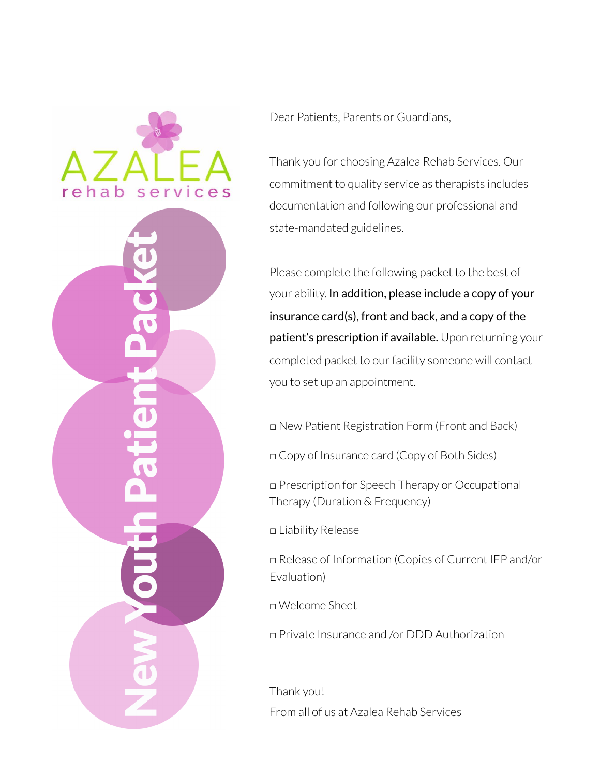

Dear Patients, Parents or Guardians,

Thank you for choosing Azalea Rehab Services. Our commitment to quality service as therapists includes documentation and following our professional and state-mandated guidelines.

Please complete the following packet to the best of your ability. In addition, please include a copy of your insurance card(s), front and back, and a copy of the patient's prescription if available. Upon returning your completed packet to our facility someone will contact you to set up an appointment.

□ New Patient Registration Form (Front and Back)

□ Copy of Insurance card (Copy of Both Sides)

□ Prescription for Speech Therapy or Occupational Therapy (Duration & Frequency)

□ Liability Release

□ Release of Information (Copies of Current IEP and/or Evaluation)

□ Welcome Sheet

□ Private Insurance and /or DDD Authorization

Thank you! From all of us at Azalea Rehab Services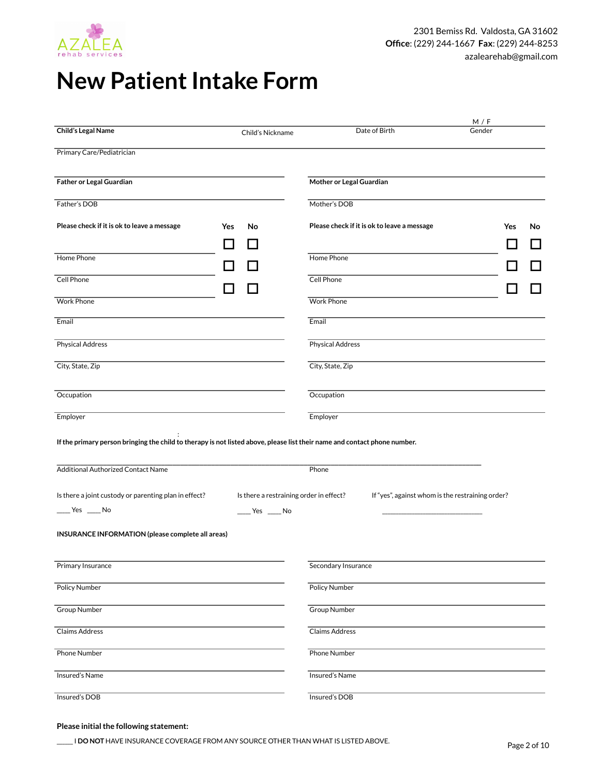

# **New Patient Intake Form**

|                                                                                                                                                                        |                                                  |                                                  | M / F     |
|------------------------------------------------------------------------------------------------------------------------------------------------------------------------|--------------------------------------------------|--------------------------------------------------|-----------|
| Child's Legal Name                                                                                                                                                     | Child's Nickname                                 | Date of Birth                                    | Gender    |
| Primary Care/Pediatrician                                                                                                                                              |                                                  |                                                  |           |
| Father or Legal Guardian                                                                                                                                               |                                                  | Mother or Legal Guardian                         |           |
| Father's DOB                                                                                                                                                           |                                                  | Mother's DOB                                     |           |
| Please check if it is ok to leave a message                                                                                                                            | <b>Yes</b><br>No<br>- 1                          | Please check if it is ok to leave a message      | Yes<br>No |
| Home Phone                                                                                                                                                             |                                                  | Home Phone                                       |           |
| Cell Phone                                                                                                                                                             |                                                  | Cell Phone                                       |           |
| <b>Work Phone</b>                                                                                                                                                      |                                                  | <b>Work Phone</b>                                |           |
| Email                                                                                                                                                                  |                                                  | Email                                            |           |
| <b>Physical Address</b>                                                                                                                                                |                                                  | <b>Physical Address</b>                          |           |
| City, State, Zip                                                                                                                                                       |                                                  | City, State, Zip                                 |           |
| Occupation                                                                                                                                                             |                                                  | Occupation                                       |           |
| Employer                                                                                                                                                               |                                                  | Employer                                         |           |
| If the primary person bringing the child to therapy is not listed above, please list their name and contact phone number.<br><b>Additional Authorized Contact Name</b> |                                                  | Phone                                            |           |
| Is there a joint custody or parenting plan in effect?                                                                                                                  | Is there a restraining order in effect?          | If "yes", against whom is the restraining order? |           |
| $\xrightarrow{\text{Yes}}$ $\xrightarrow{\text{No}}$                                                                                                                   | $\rule{1em}{0.15mm}$ Yes $\rule{1em}{0.15mm}$ No |                                                  |           |
| INSURANCE INFORMATION (please complete all areas)                                                                                                                      |                                                  |                                                  |           |
| Primary Insurance                                                                                                                                                      |                                                  | Secondary Insurance                              |           |
| <b>Policy Number</b>                                                                                                                                                   |                                                  | Policy Number                                    |           |
| <b>Group Number</b>                                                                                                                                                    |                                                  | <b>Group Number</b>                              |           |
| <b>Claims Address</b>                                                                                                                                                  |                                                  | <b>Claims Address</b>                            |           |
| <b>Phone Number</b>                                                                                                                                                    |                                                  | <b>Phone Number</b>                              |           |
| Insured's Name                                                                                                                                                         |                                                  | Insured's Name                                   |           |
| Insured's DOB                                                                                                                                                          |                                                  | Insured's DOB                                    |           |

### **Please initial the following statement:**

\_\_\_\_\_\_ I **DO NOT** HAVE INSURANCE COVERAGE FROM ANY SOURCE OTHER THAN WHAT IS LISTED ABOVE.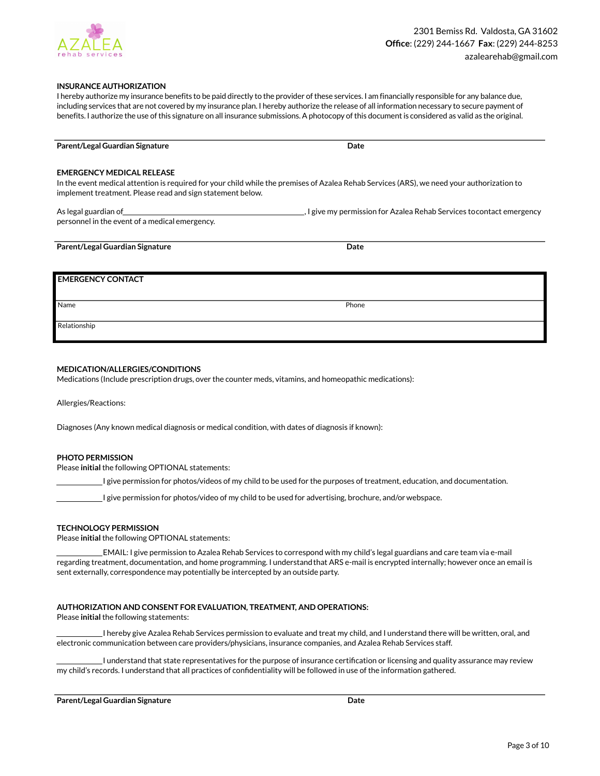

### **INSURANCE AUTHORIZATION**

I hereby authorize my insurance benefits to be paid directly to the provider of these services. I am financially responsible for any balance due, including services that are not covered by my insurance plan. I hereby authorize the release of all information necessary to secure payment of benefits. I authorize the use of this signature on all insurance submissions. A photocopy of this document is considered as valid as the original.

| Parent/Legal Guardian Signature | Jate |  |
|---------------------------------|------|--|

#### **EMERGENCY MEDICAL RELEASE**

In the event medical attention is required for your child while the premises of Azalea Rehab Services (ARS), we need your authorization to implement treatment. Please read and sign statement below.

| As legal guardian of                           | _, I give my permission for Azalea Rehab Services tocontact emergency |
|------------------------------------------------|-----------------------------------------------------------------------|
| personnel in the event of a medical emergency. |                                                                       |

### **Parent/Legal Guardian Signature Date** Date

### **EMERGENCY CONTACT**

Name Phone

Relationship

#### **MEDICATION/ALLERGIES/CONDITIONS**

Medications (Include prescription drugs, over the counter meds, vitamins, and homeopathic medications):

Allergies/Reactions:

Diagnoses (Any known medical diagnosis or medical condition, with dates of diagnosis if known):

### **PHOTO PERMISSION**

Please **initial** the following OPTIONAL statements:

I give permission for photos/videos of my child to be used for the purposes of treatment, education, and documentation.

I give permission for photos/video of my child to be used for advertising, brochure, and/or webspace.

#### **TECHNOLOGY PERMISSION**

Please **initial** the following OPTIONAL statements:

 EMAIL: I give permission to Azalea Rehab Services to correspond with my child's legal guardians and care team via e-mail regarding treatment, documentation, and home programming. I understandthat ARS e-mail is encrypted internally; however once an email is sent externally, correspondence may potentially be intercepted by an outside party.

#### **AUTHORIZATION AND CONSENT FOR EVALUATION, TREATMENT, AND OPERATIONS:**

Please **initial** the following statements:

 I hereby give Azalea Rehab Services permission to evaluate and treat my child, and I understand there will be written, oral, and electronic communication between care providers/physicians, insurance companies, and Azalea Rehab Services staff.

 I understand that state representatives for the purpose of insurance certification or licensing and quality assurance may review my child's records. I understand that all practices of confidentiality will be followed in use of the information gathered.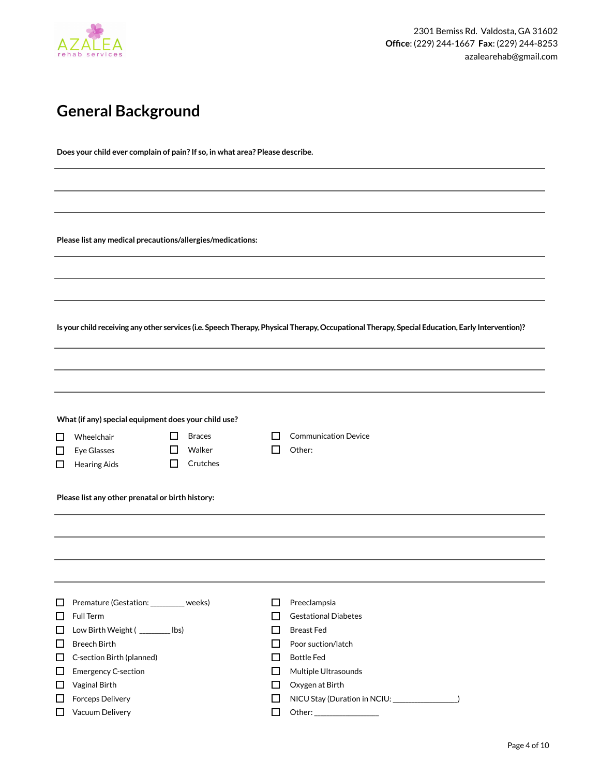

## **General Background**

**Does your child ever complain of pain? If so, in what area? Please describe.**

**Please list any medical precautions/allergies/medications:**

**Is your child receiving any other services (i.e. Speech Therapy, Physical Therapy, Occupational Therapy, Special Education, Early Intervention)?**

|        | What (if any) special equipment does your child use? |              |               |        |                                              |
|--------|------------------------------------------------------|--------------|---------------|--------|----------------------------------------------|
| $\Box$ | Wheelchair                                           | $\mathbf{I}$ | <b>Braces</b> | l I    | <b>Communication Device</b>                  |
| □      | Eye Glasses                                          | ப            | Walker        | $\Box$ | Other:                                       |
| □      | <b>Hearing Aids</b>                                  | П            | Crutches      |        |                                              |
|        |                                                      |              |               |        |                                              |
|        | Please list any other prenatal or birth history:     |              |               |        |                                              |
|        |                                                      |              |               |        |                                              |
|        |                                                      |              |               |        |                                              |
|        |                                                      |              |               |        |                                              |
|        |                                                      |              |               |        |                                              |
|        |                                                      |              |               |        |                                              |
|        |                                                      |              |               |        |                                              |
| □      | Premature (Gestation: ________ weeks)                |              |               | □      | Preeclampsia                                 |
| $\Box$ | Full Term                                            |              |               | П      | <b>Gestational Diabetes</b>                  |
| $\Box$ | Low Birth Weight ( ________ lbs)                     |              |               | П      | <b>Breast Fed</b>                            |
| □      | <b>Breech Birth</b>                                  |              |               | □      | Poor suction/latch                           |
| □      | C-section Birth (planned)                            |              |               | П      | <b>Bottle Fed</b>                            |
| $\Box$ | <b>Emergency C-section</b>                           |              |               | $\Box$ | Multiple Ultrasounds                         |
| □      | Vaginal Birth                                        |              |               | □      | Oxygen at Birth                              |
| $\Box$ | Forceps Delivery                                     |              |               | П      | NICU Stay (Duration in NCIU: \\sqrt(\) \) \) |
| □      | Vacuum Delivery                                      |              |               | $\Box$ |                                              |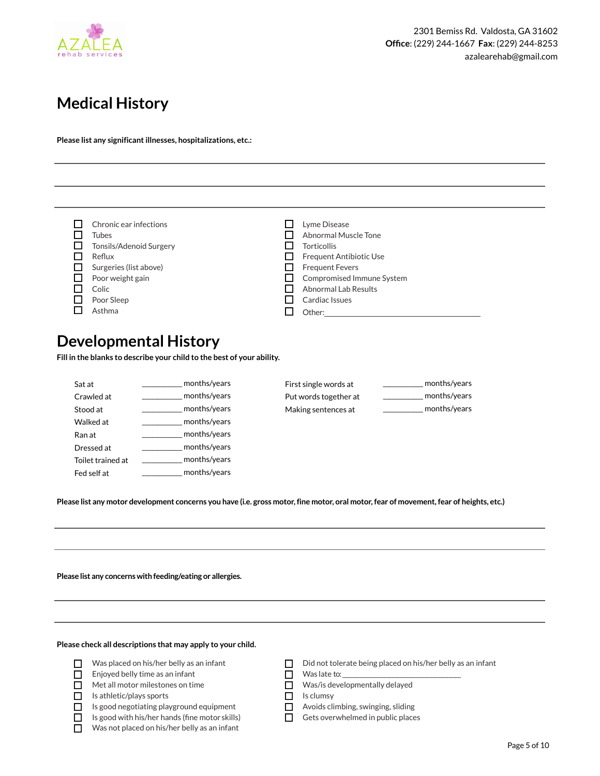

## **Medical History**

**Please list any significant illnesses, hospitalizations, etc.:**

| Chronic ear infections  | Lyme Disease              |
|-------------------------|---------------------------|
| <b>Tubes</b>            | Abnormal Muscle Tone      |
| Tonsils/Adenoid Surgery | <b>Torticollis</b>        |
| Reflux                  | Frequent Antibiotic Use   |
| Surgeries (list above)  | <b>Frequent Fevers</b>    |
| Poor weight gain        | Compromised Immune System |
| Colic                   | Abnormal Lab Results      |
| Poor Sleep              | Cardiac Issues            |
| Asthma                  | Other:                    |

### **Developmental History**

**Fill in the blanks to describe your child to the best of your ability.** 

| Sat at            | months/years |
|-------------------|--------------|
| Crawled at        | months/years |
| Stood at          | months/years |
| Walked at         | months/years |
| Ran at            | months/years |
| Dressed at        | months/years |
| Toilet trained at | months/years |
| Fed self at       | months/years |

| First single words at | months/years |
|-----------------------|--------------|
| Put words together at | months/vears |
| Making sentences at   | months/years |

**Please list any motor development concerns you have (i.e. gross motor, fine motor, oral motor, fear of movement, fear of heights, etc.)**

**Please list any concerns with feeding/eating or allergies.**

**Please check all descriptions that may apply to your child.** 

| $\Box$<br>Was placed on his/her belly as an infant |  |
|----------------------------------------------------|--|
|----------------------------------------------------|--|

- $\Box$  Enjoyed belly time as an infant
- Met all motor milestones on time
- $\Box$  Is athletic/plays sports
- $\Box$  Is good negotiating playground equipment
- $\Box$  Is good with his/her hands (fine motor skills)
- Was not placed on his/her belly as an infant
- Did not tolerate being placed on his/her belly as an infant

 $\Box$  Was late to:

- Was/is developmentally delayed
- Is clumsy  $\Box$
- Avoids climbing, swinging, sliding  $\Box$
- $\Box$  Gets overwhelmed in public places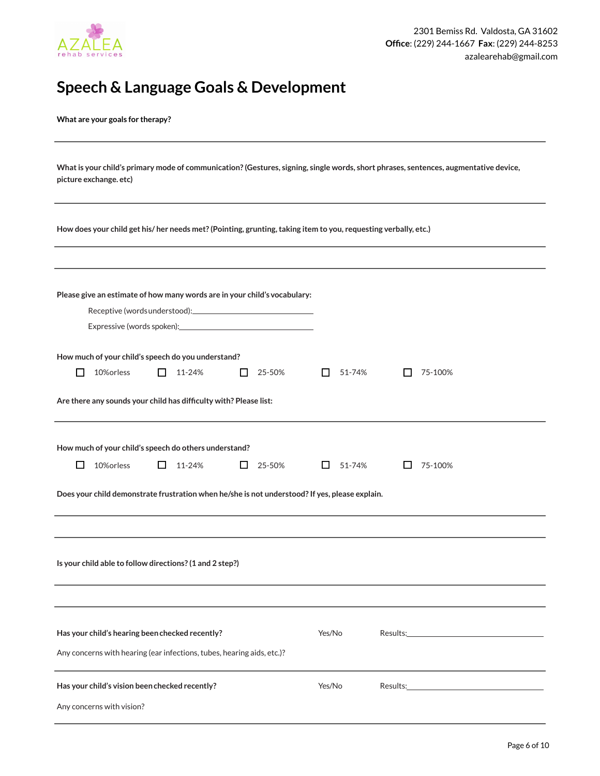

## **Speech & Language Goals & Development**

**What are your goals for therapy?**

| What is your child's primary mode of communication? (Gestures, signing, single words, short phrases, sentences, augmentative device, |
|--------------------------------------------------------------------------------------------------------------------------------------|
| picture exchange, etc)                                                                                                               |

**How does your child get his/ her needs met? (Pointing, grunting, taking item to you, requesting verbally, etc.)**

| Please give an estimate of how many words are in your child's vocabulary:                      |                        |                                                                                                                                                                                                                                |  |  |
|------------------------------------------------------------------------------------------------|------------------------|--------------------------------------------------------------------------------------------------------------------------------------------------------------------------------------------------------------------------------|--|--|
|                                                                                                |                        |                                                                                                                                                                                                                                |  |  |
|                                                                                                |                        |                                                                                                                                                                                                                                |  |  |
|                                                                                                |                        |                                                                                                                                                                                                                                |  |  |
| How much of your child's speech do you understand?                                             |                        |                                                                                                                                                                                                                                |  |  |
| 10% orless<br>11-24%<br>25-50%<br>$\mathbf{I}$<br>l l<br>H                                     | 51-74%<br>$\mathbf{L}$ | 75-100%<br>$\mathsf{L}$                                                                                                                                                                                                        |  |  |
| Are there any sounds your child has difficulty with? Please list:                              |                        |                                                                                                                                                                                                                                |  |  |
| How much of your child's speech do others understand?                                          |                        |                                                                                                                                                                                                                                |  |  |
| $\Box$<br>10% orless<br>11-24%<br>ப<br>25-50%                                                  | ப<br>51-74%            | Ш<br>75-100%                                                                                                                                                                                                                   |  |  |
| Does your child demonstrate frustration when he/she is not understood? If yes, please explain. |                        |                                                                                                                                                                                                                                |  |  |
|                                                                                                |                        |                                                                                                                                                                                                                                |  |  |
| Is your child able to follow directions? (1 and 2 step?)                                       |                        |                                                                                                                                                                                                                                |  |  |
|                                                                                                |                        |                                                                                                                                                                                                                                |  |  |
| Has your child's hearing been checked recently?                                                | Yes/No                 |                                                                                                                                                                                                                                |  |  |
| Any concerns with hearing (ear infections, tubes, hearing aids, etc.)?                         |                        |                                                                                                                                                                                                                                |  |  |
| Has your child's vision been checked recently?                                                 | Yes/No                 | Results: and the contract of the contract of the contract of the contract of the contract of the contract of the contract of the contract of the contract of the contract of the contract of the contract of the contract of t |  |  |
| Any concerns with vision?                                                                      |                        |                                                                                                                                                                                                                                |  |  |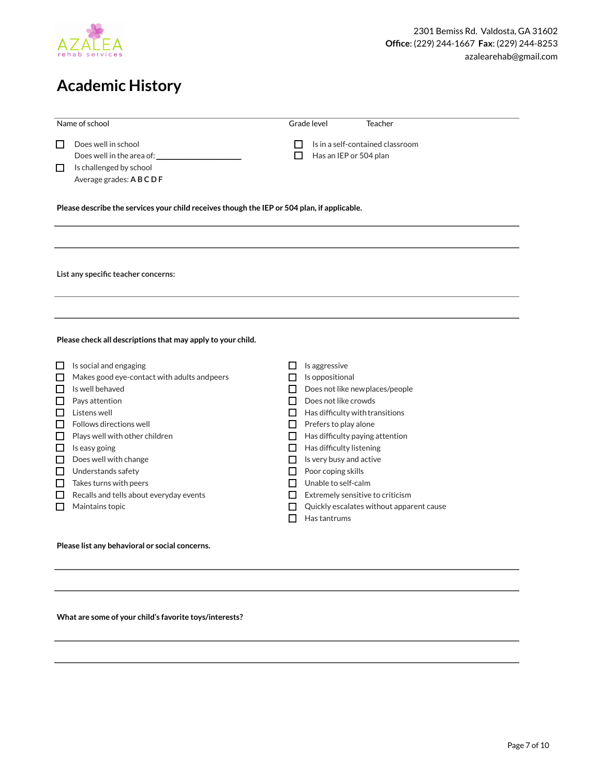

## **Academic History**

|              | Name of school                                                                                       |        | Grade level<br>Teacher                                     |
|--------------|------------------------------------------------------------------------------------------------------|--------|------------------------------------------------------------|
| $\Box$<br>ப  | Does well in school<br>Does well in the area of:<br>Is challenged by school<br>Average grades: ABCDF | $\Box$ | Is in a self-contained classroom<br>Has an IEP or 504 plan |
|              | Please describe the services your child receives though the IEP or 504 plan, if applicable.          |        |                                                            |
|              |                                                                                                      |        |                                                            |
|              |                                                                                                      |        |                                                            |
|              |                                                                                                      |        |                                                            |
|              | List any specific teacher concerns:                                                                  |        |                                                            |
|              |                                                                                                      |        |                                                            |
|              |                                                                                                      |        |                                                            |
|              |                                                                                                      |        |                                                            |
|              |                                                                                                      |        |                                                            |
|              | Please check all descriptions that may apply to your child.                                          |        |                                                            |
|              |                                                                                                      |        |                                                            |
| ப            | Is social and engaging                                                                               | ப      | Is aggressive                                              |
| $\Box$       | Makes good eye-contact with adults and peers                                                         | ப      | Is oppositional                                            |
| $\Box$       | Is well behaved                                                                                      | П      | Does not like newplaces/people                             |
| $\Box$       | Pays attention                                                                                       | П      | Does not like crowds                                       |
| $\Box$       | Listens well                                                                                         | П      | Has difficulty with transitions                            |
| $\Box$       | Follows directions well                                                                              | П      | Prefers to play alone                                      |
| □            | Plays well with other children                                                                       | $\Box$ | Has difficulty paying attention                            |
| ப            | Is easy going                                                                                        | П      | Has difficulty listening                                   |
| $\mathsf{L}$ | Does well with change                                                                                | ப      | Is very busy and active                                    |
| П            | Understands safety                                                                                   | П      | Poor coping skills                                         |
| $\Box$       | Takes turns with peers                                                                               | П      | Unable to self-calm                                        |
| l l          | Recalls and tells about everyday events                                                              | ΙI     | Extremely sensitive to criticism                           |
| l l          | Maintains topic                                                                                      | H      | Quickly escalates without apparent cause                   |
|              |                                                                                                      | П      | Has tantrums                                               |
|              | Please list any behavioral or social concerns.                                                       |        |                                                            |
|              |                                                                                                      |        |                                                            |

**What are some of your child's favorite toys/interests?**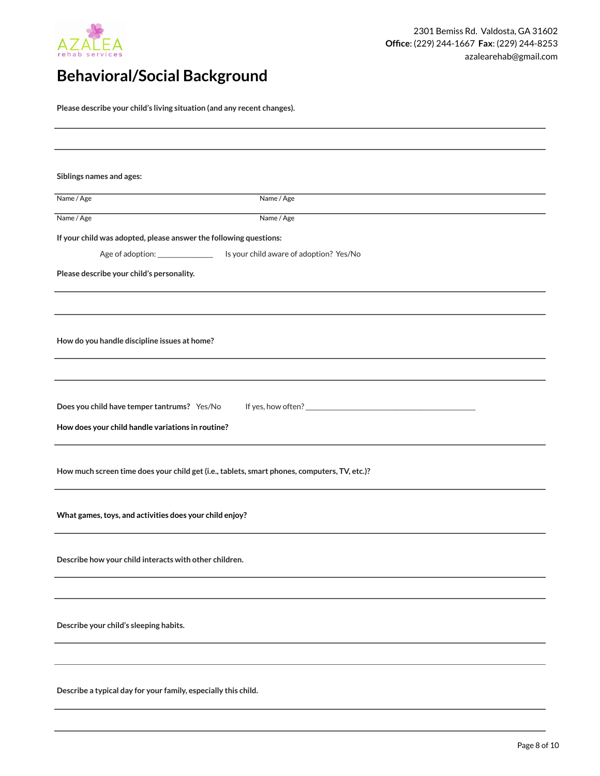

## **Behavioral/Social Background**

**Please describe your child's living situation (and any recent changes).**

| Siblings names and ages:                                          |                                                                                              |
|-------------------------------------------------------------------|----------------------------------------------------------------------------------------------|
| Name / Age                                                        | Name / Age                                                                                   |
| Name / Age                                                        | Name / Age                                                                                   |
| If your child was adopted, please answer the following questions: |                                                                                              |
| Age of adoption: _______________                                  | Is your child aware of adoption? Yes/No                                                      |
| Please describe your child's personality.                         |                                                                                              |
|                                                                   |                                                                                              |
|                                                                   |                                                                                              |
| How do you handle discipline issues at home?                      |                                                                                              |
|                                                                   |                                                                                              |
|                                                                   |                                                                                              |
|                                                                   |                                                                                              |
| Does you child have temper tantrums? Yes/No                       |                                                                                              |
| How does your child handle variations in routine?                 |                                                                                              |
|                                                                   |                                                                                              |
|                                                                   | How much screen time does your child get (i.e., tablets, smart phones, computers, TV, etc.)? |
|                                                                   |                                                                                              |
| What games, toys, and activities does your child enjoy?           |                                                                                              |
|                                                                   |                                                                                              |
| Describe how your child interacts with other children.            |                                                                                              |
|                                                                   |                                                                                              |
|                                                                   |                                                                                              |
|                                                                   |                                                                                              |
| Describe your child's sleeping habits.                            |                                                                                              |
|                                                                   |                                                                                              |
|                                                                   |                                                                                              |
| Describe a typical day for your family, especially this child.    |                                                                                              |
|                                                                   |                                                                                              |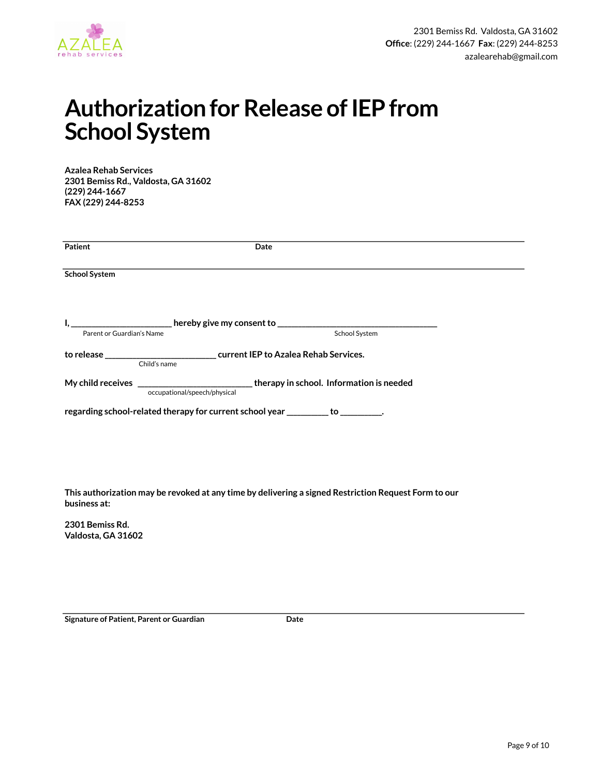

# **Authorization for Release of IEP from School System**

**Azalea Rehab Services 2301 Bemiss Rd., Valdosta, GA 31602 (229) 244-1667 FAX (229) 244-8253** 

| <b>Patient</b>            |                              | Date                                                                                       |  |
|---------------------------|------------------------------|--------------------------------------------------------------------------------------------|--|
| <b>School System</b>      |                              |                                                                                            |  |
| Parent or Guardian's Name |                              | School System                                                                              |  |
|                           | Child's name                 |                                                                                            |  |
|                           | occupational/speech/physical | My child receives ________________________________therapy in school. Information is needed |  |
|                           |                              | regarding school-related therapy for current school year __________ to _________.          |  |
|                           |                              |                                                                                            |  |

**This authorization may be revoked at any time by delivering a signed Restriction Request Form to our business at:** 

**2301 Bemiss Rd. Valdosta, GA 31602** 

**Signature of Patient, Parent or Guardian Communisty Communisty Date**